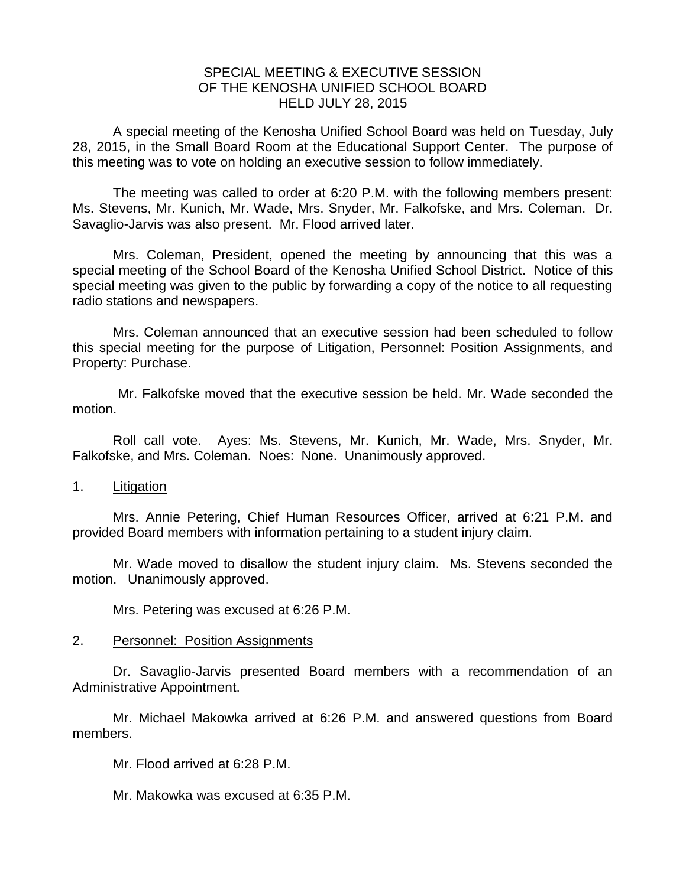## SPECIAL MEETING & EXECUTIVE SESSION OF THE KENOSHA UNIFIED SCHOOL BOARD HELD JULY 28, 2015

A special meeting of the Kenosha Unified School Board was held on Tuesday, July 28, 2015, in the Small Board Room at the Educational Support Center. The purpose of this meeting was to vote on holding an executive session to follow immediately.

The meeting was called to order at 6:20 P.M. with the following members present: Ms. Stevens, Mr. Kunich, Mr. Wade, Mrs. Snyder, Mr. Falkofske, and Mrs. Coleman. Dr. Savaglio-Jarvis was also present. Mr. Flood arrived later.

Mrs. Coleman, President, opened the meeting by announcing that this was a special meeting of the School Board of the Kenosha Unified School District. Notice of this special meeting was given to the public by forwarding a copy of the notice to all requesting radio stations and newspapers.

Mrs. Coleman announced that an executive session had been scheduled to follow this special meeting for the purpose of Litigation, Personnel: Position Assignments, and Property: Purchase.

Mr. Falkofske moved that the executive session be held. Mr. Wade seconded the motion.

Roll call vote. Ayes: Ms. Stevens, Mr. Kunich, Mr. Wade, Mrs. Snyder, Mr. Falkofske, and Mrs. Coleman. Noes: None. Unanimously approved.

## 1. Litigation

Mrs. Annie Petering, Chief Human Resources Officer, arrived at 6:21 P.M. and provided Board members with information pertaining to a student injury claim.

Mr. Wade moved to disallow the student injury claim. Ms. Stevens seconded the motion. Unanimously approved.

Mrs. Petering was excused at 6:26 P.M.

## 2. Personnel: Position Assignments

Dr. Savaglio-Jarvis presented Board members with a recommendation of an Administrative Appointment.

Mr. Michael Makowka arrived at 6:26 P.M. and answered questions from Board members.

Mr. Flood arrived at 6:28 P.M.

Mr. Makowka was excused at 6:35 P.M.